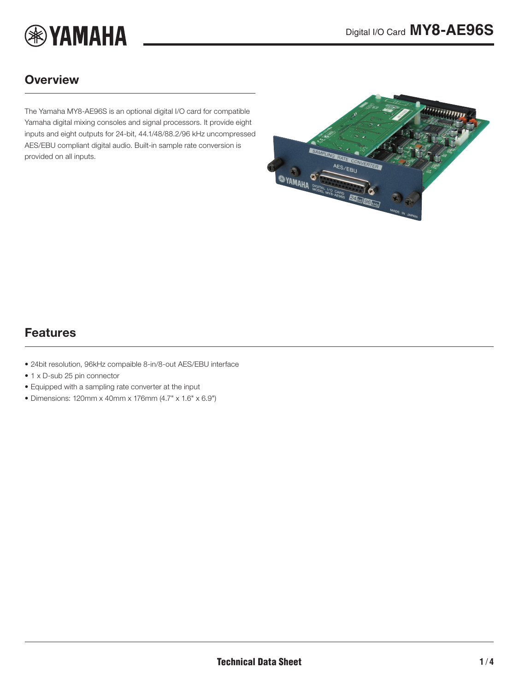

### **Overview**

The Yamaha MY8-AE96S is an optional digital I/O card for compatible Yamaha digital mixing consoles and signal processors. It provide eight inputs and eight outputs for 24-bit, 44.1/48/88.2/96 kHz uncompressed AES/EBU compliant digital audio. Built-in sample rate conversion is provided on all inputs.

<span id="page-0-0"></span>

### Features

- 24bit resolution, 96kHz compaible 8-in/8-out AES/EBU interface
- 1 x D-sub 25 pin connector
- Equipped with a sampling rate converter at the input
- Dimensions: 120mm x 40mm x 176mm (4.7" x 1.6" x 6.9")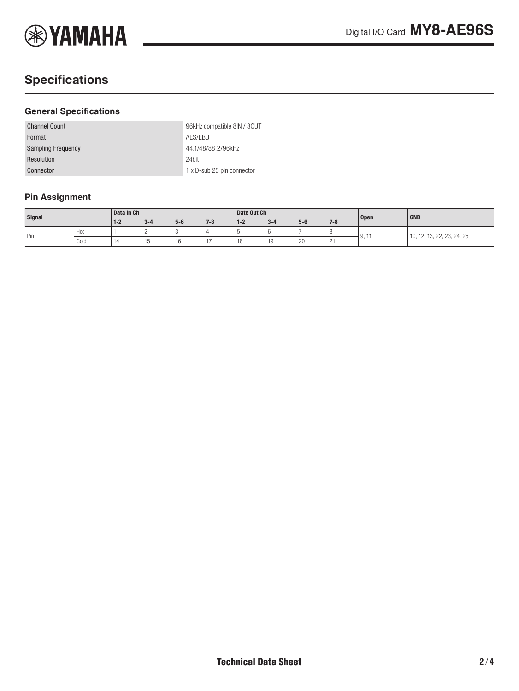

# **Specifications**

#### **General Specifications**

| <b>Channel Count</b>      | 96kHz compatible 8IN / 80UT |  |  |  |  |
|---------------------------|-----------------------------|--|--|--|--|
| Format                    | AES/EBU                     |  |  |  |  |
| <b>Sampling Frequency</b> | 44.1/48/88.2/96kHz          |  |  |  |  |
| Resolution                | 24bit                       |  |  |  |  |
| Connector                 | 1 x D-sub 25 pin connector  |  |  |  |  |

### **Pin Assignment**

| Signal |      | Data In Ch |         |       |         | Date Out Ch                                |         |       |         |                       | GND                               |
|--------|------|------------|---------|-------|---------|--------------------------------------------|---------|-------|---------|-----------------------|-----------------------------------|
|        |      | $1 - 2$    | $3 - 4$ | $5-6$ | $7 - 8$ | $1 - 2$                                    | $3 - 4$ | $5-6$ | $7 - 8$ | <b>Open</b>           |                                   |
| Pin    | Hot  |            |         |       |         |                                            |         |       |         | $\mathbf{u}$<br>J, II | 13, 22, 23, 24, 25<br>10.<br>$-1$ |
|        | Cold | 14         |         | ١b    |         | $\overline{1}$<br>$\overline{\phantom{a}}$ | ن ا     | 20    | -       |                       |                                   |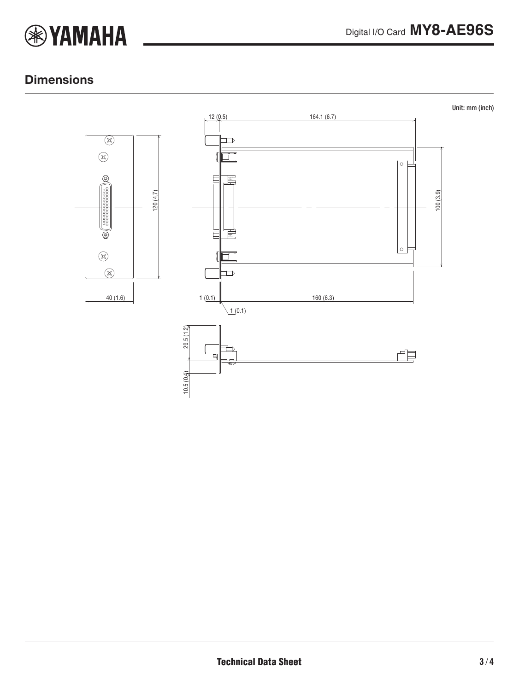

### **Dimensions**